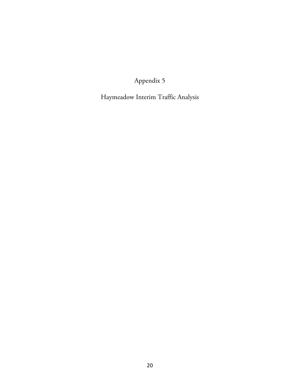Appendix 5

Haymeadow Interim Traffic Analysis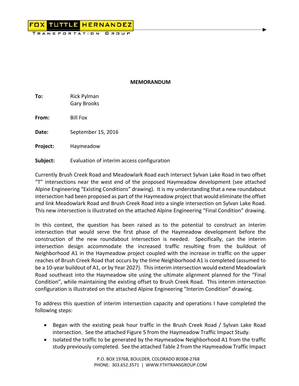

#### **MEMORANDUM**

**To:**  Rick Pylman Gary Brooks

**From:**  Bill Fox

**Date:**  September 15, 2016

**Project:** Haymeadow

**Subject:** Evaluation of interim access configuration

Currently Brush Creek Road and Meadowlark Road each intersect Sylvan Lake Road in two offset "T" intersections near the west end of the proposed Haymeadow development (see attached Alpine Engineering "Existing Conditions" drawing). It is my understanding that a new roundabout intersection had been proposed as part of the Haymeadow project that would eliminate the offset and link Meadowlark Road and Brush Creek Road into a single intersection on Sylvan Lake Road. This new intersection is illustrated on the attached Alpine Engineering "Final Condition" drawing.

In this context, the question has been raised as to the potential to construct an interim intersection that would serve the first phase of the Haymeadow development before the construction of the new roundabout intersection is needed. Specifically, can the interim intersection design accommodate the increased traffic resulting from the buildout of Neighborhood A1 in the Haymeadow project coupled with the increase in traffic on the upper reaches of Brush Creek Road that occurs by the time Neighborhood A1 is completed (assumed to be a 10-year buildout of A1, or by Year 2027). This interim intersection would extend Meadowlark Road southeast into the Haymeadow site using the ultimate alignment planned for the "Final Condition", while maintaining the existing offset to Brush Creek Road. This interim intersection configuration is illustrated on the attached Alpine Engineering "Interim Condition" drawing.

To address this question of interim intersection capacity and operations I have completed the following steps:

- Began with the existing peak hour traffic in the Brush Creek Road / Sylvan Lake Road intersection. See the attached Figure 5 from the Haymeadow Traffic Impact Study.
- Isolated the traffic to be generated by the Haymeadow Neighborhood A1 from the traffic study previously completed. See the attached Table 2 from the Haymeadow Traffic Impact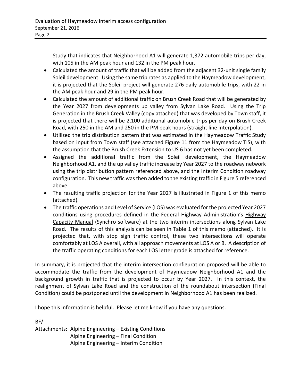Study that indicates that Neighborhood A1 will generate 1,372 automobile trips per day, with 105 in the AM peak hour and 132 in the PM peak hour.

- Calculated the amount of traffic that will be added from the adjacent 32-unit single family Soleil development. Using the same trip rates as applied to the Haymeadow development, it is projected that the Soleil project will generate 276 daily automobile trips, with 22 in the AM peak hour and 29 in the PM peak hour.
- Calculated the amount of additional traffic on Brush Creek Road that will be generated by the Year 2027 from developments up valley from Sylvan Lake Road. Using the Trip Generation in the Brush Creek Valley (copy attached) that was developed by Town staff, it is projected that there will be 2,100 additional automobile trips per day on Brush Creek Road, with 250 in the AM and 250 in the PM peak hours (straight line interpolation).
- Utilized the trip distribution pattern that was estimated in the Haymeadow Traffic Study based on input from Town staff (see attached Figure 11 from the Haymeadow TIS), with the assumption that the Brush Creek Extension to US 6 has not yet been completed.
- Assigned the additional traffic from the Soleil development, the Haymeadow Neighborhood A1, and the up valley traffic increase by Year 2027 to the roadway network using the trip distribution pattern referenced above, and the Interim Condition roadway configuration. This new traffic was then added to the existing traffic in Figure 5 referenced above.
- The resulting traffic projection for the Year 2027 is illustrated in Figure 1 of this memo (attached).
- The traffic operations and Level of Service (LOS) was evaluated for the projected Year 2027 conditions using procedures defined in the Federal Highway Administration's Highway Capacity Manual (Synchro software) at the two interim intersections along Sylvan Lake Road. The results of this analysis can be seen in Table 1 of this memo (attached). It is projected that, with stop sign traffic control, these two intersections will operate comfortably at LOS A overall, with all approach movements at LOS A or B. A description of the traffic operating conditions for each LOS letter grade is attached for reference.

In summary, it is projected that the interim intersection configuration proposed will be able to accommodate the traffic from the development of Haymeadow Neighborhood A1 and the background growth in traffic that is projected to occur by Year 2027. In this context, the realignment of Sylvan Lake Road and the construction of the roundabout intersection (Final Condition) could be postponed until the development in Neighborhood A1 has been realized.

I hope this information is helpful. Please let me know if you have any questions.

BF/ Attachments: Alpine Engineering – Existing Conditions Alpine Engineering – Final Condition Alpine Engineering – Interim Condition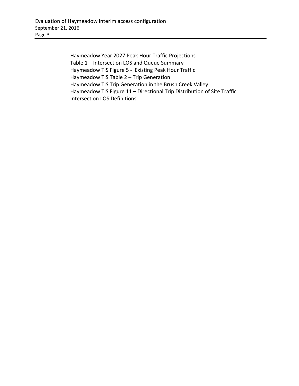Haymeadow Year 2027 Peak Hour Traffic Projections Table 1 – Intersection LOS and Queue Summary Haymeadow TIS Figure 5 ‐ Existing Peak Hour Traffic Haymeadow TIS Table 2 – Trip Generation Haymeadow TIS Trip Generation in the Brush Creek Valley Haymeadow TIS Figure 11 – Directional Trip Distribution of Site Traffic Intersection LOS Definitions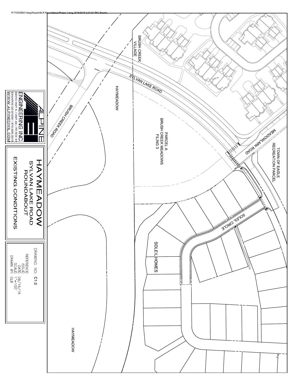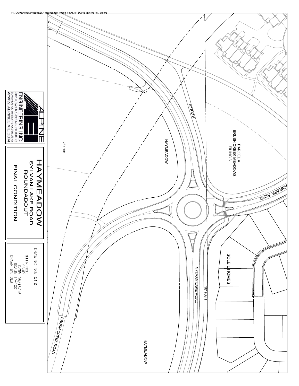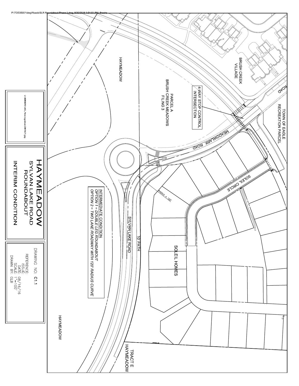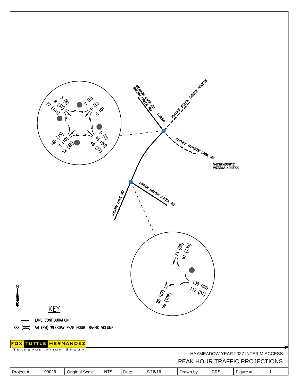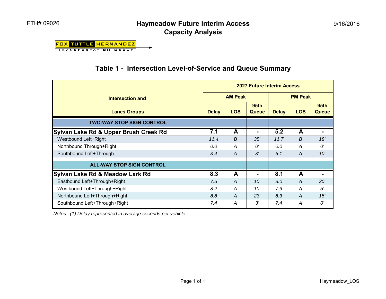### **Haymeadow Future Interim Access Capacity Analysis**

**FOX TUTTLE HERNANDEZ TRANSPORTATION GROUP** 

## **Table 1 - Intersection Level-of-Service and Queue Summary**

|                                       | <b>2027 Future Interim Access</b> |                |                           |                |            |                             |  |  |
|---------------------------------------|-----------------------------------|----------------|---------------------------|----------------|------------|-----------------------------|--|--|
| Intersection and                      |                                   | <b>AM Peak</b> |                           | <b>PM Peak</b> |            |                             |  |  |
| <b>Lanes Groups</b>                   | <b>Delay</b>                      | <b>LOS</b>     | 95 <sub>th</sub><br>Queue | <b>Delay</b>   | <b>LOS</b> | <b>95th</b><br><b>Queue</b> |  |  |
| <b>TWO-WAY STOP SIGN CONTROL</b>      |                                   |                |                           |                |            |                             |  |  |
| Sylvan Lake Rd & Upper Brush Creek Rd | 7.1                               | $\mathbf{A}$   | ٠                         | 5.2            | A          |                             |  |  |
| <b>Westbound Left+Right</b>           | 11.4                              | B              | 35'                       | 11.7           | B          | 18'                         |  |  |
| Northbound Through+Right              | 0.0                               | A              | O'                        | 0.0            | A          | $\Omega^{\prime}$           |  |  |
| Southbound Left+Through               | 3.4                               | A              | 3'                        | 6.1            | A          | 10'                         |  |  |
| <b>ALL-WAY STOP SIGN CONTROL</b>      |                                   |                |                           |                |            |                             |  |  |
| Sylvan Lake Rd & Meadow Lark Rd       | 8.3                               | A              |                           | 8.1            | A          |                             |  |  |
| Eastbound Left+Through+Right          | 7.5                               | $\overline{A}$ | 10'                       | 8.0            | A          | 20'                         |  |  |
| Westbound Left+Through+Right          | 8.2                               | A              | 10'                       | 7.9            | A          | $5^{\prime}$                |  |  |
| Northbound Left+Through+Right         | 8.8                               | $\overline{A}$ | 23'                       | 8.3            | A          | 15'                         |  |  |
| Southbound Left+Through+Right         | 7.4                               | A              | 3'                        | 7.4            | A          | O'                          |  |  |

*Notes: (1) Delay represented in average seconds per vehicle.*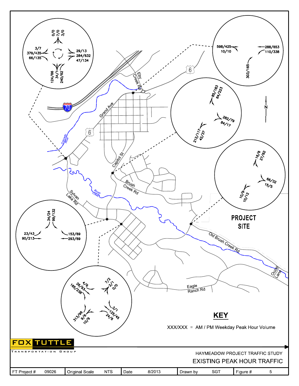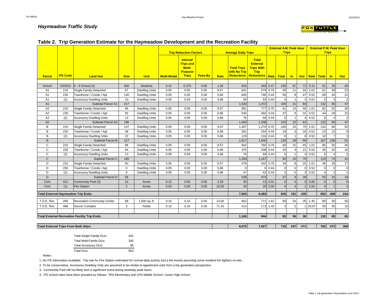#### *Haymeadow Traffic Study*



8/13/2013

|                |                 |                                                      |             |                       |                    | <b>Trip Reduction Factors</b>                                                          |         |             | <b>Average Daily Trips</b>                              |                                                                                              |           | <b>Trips</b>   |                |     |         |                    | <b>Trips</b>   |                |
|----------------|-----------------|------------------------------------------------------|-------------|-----------------------|--------------------|----------------------------------------------------------------------------------------|---------|-------------|---------------------------------------------------------|----------------------------------------------------------------------------------------------|-----------|----------------|----------------|-----|---------|--------------------|----------------|----------------|
| <b>Parcel</b>  | <b>ITE Code</b> | <b>Land Use</b>                                      | <b>Size</b> | <b>Unit</b>           | <b>Multi-Modal</b> | <b>Internal</b><br><b>Trips and</b><br><b>Multi-</b><br><b>Purpose</b><br><b>Trips</b> | Pass-By | <b>Rate</b> | <b>Total Trips</b><br>with No Trip<br><b>Reductions</b> | <b>Total</b><br><b>External</b><br><b>Trips With</b><br><b>Trip</b><br>Reductions Rate Total |           |                | $\mathsf{In}$  |     |         | Out   Rate   Total | $\mathsf{In}$  | <b>Out</b>     |
|                |                 |                                                      |             |                       |                    |                                                                                        |         |             |                                                         |                                                                                              |           |                |                |     |         |                    |                |                |
| School         | 520/522         | $K - 8$ School (4)                                   | 600         | <b>Students</b>       | 0.10               | 0.375                                                                                  | 0.00    | 1.36        | 816                                                     |                                                                                              | 459 0.47  | 159            | 87             |     | 72 0.15 | 51                 | 25             | 26             |
| A1             | 210             | Single Family Detached                               | 67          | <b>Dwelling Units</b> | 0.05               | 0.05                                                                                   | 0.00    | 9.57        | 641                                                     |                                                                                              | 579 0.75  | 45             | 11             |     | 34 1.01 | 61                 | 38             | 23             |
| A <sub>1</sub> | 230             | Townhome / Condo / Apt                               | 140         | <b>Dwelling Units</b> | 0.05               | 0.05                                                                                   | 0.00    | 5.86        | 820                                                     |                                                                                              | 740 0.44  | 56             | 9              | 47  | 0.52    | 66                 | 44             | 22             |
| A <sub>1</sub> | (2)             | <b>Accessory Dwelling Units</b>                      | 10          | <b>Dwelling Units</b> | 0.05               | 0.05                                                                                   | 0.00    | 5.86        | 59                                                      |                                                                                              | 53   0.44 | $\overline{4}$ | $\mathbf{1}$   |     | 0.52    | 5                  | 3              | $\overline{2}$ |
| A1             |                 | Subtotal Parcel A1:                                  | 217         |                       |                    |                                                                                        |         |             | 1,520                                                   | 1,372                                                                                        |           | 105            | 21             | 84  |         | 132                | 85             | 47             |
| A <sub>2</sub> | 210             | Single Family Detached                               | 90          | <b>Dwelling Units</b> | 0.05               | 0.05                                                                                   | 0.00    | 9.57        | 861                                                     |                                                                                              | 777 0.75  | 61             | 15             |     | 46 1.01 | 82                 | 52             | 30             |
| A <sub>2</sub> | 230             | Townhome / Condo / Apt                               | 93          | <b>Dwelling Units</b> | 0.05               | 0.05                                                                                   | 0.00    | 5.86        | 545                                                     |                                                                                              | 492 0.44  | 37             | 6              | 31  | 0.52    | 44                 | 29             | 15             |
| A2             | (2)             | <b>Accessory Dwelling Units</b>                      | 13          | <b>Dwelling Units</b> | 0.05               | 0.05                                                                                   | 0.00    | 5.86        | 76                                                      |                                                                                              | 69 0.44   | 5              | $\overline{1}$ |     | 0.52    | 6                  | $\overline{4}$ | $\overline{2}$ |
| A2             |                 | Subtotal Parcel A2:                                  | 196         |                       |                    |                                                                                        |         |             | 1,482                                                   | 1,338                                                                                        |           | 103            | 22             | 81  |         | 132                | 85             | 47             |
| B              | 210             | Single Family Detached                               | 147         | <b>Dwelling Units</b> | 0.05               | 0.05                                                                                   | 0.00    | 9.57        | 1,407                                                   | 1,270 0.75                                                                                   |           | 100            | 25             |     | 75 1.01 | 134                | 84             | 50             |
| B              | 230             | Townhome / Condo / Apt                               | 48          | <b>Dwelling Units</b> | 0.05               | 0.05                                                                                   | 0.00    | 5.86        | 281                                                     | 254                                                                                          | 0.44      | 19             | 3              | 16  | 0.52    | 23                 | 15             | 8              |
| B              | (2)             | <b>Accessory Dwelling Units</b>                      | 22          | <b>Dwelling Units</b> | 0.05               | 0.05                                                                                   | 0.00    | 5.86        | 129                                                     |                                                                                              | 116 0.44  | 9              | $\mathbf{1}$   | 8   | 0.52    | 10                 | $\overline{7}$ | 3              |
| B              |                 | Subtotal Parcel B:                                   | 217         |                       |                    |                                                                                        |         |             | 1,817                                                   | 1,640                                                                                        |           | 128            | 29             | 99  |         | 167                | 106            | 61             |
| C              | 210             | Single Family Detached                               | 88          | <b>Dwelling Units</b> | 0.05               | 0.05                                                                                   | 0.00    | 9.57        | 842                                                     |                                                                                              | 760 0.75  | 60             | 15             | 45  | 1.01    | 80                 | 50             | 30             |
| $\mathsf{C}$   | 230             | Townhome / Condo / Apt                               | 64          | <b>Dwelling Units</b> | 0.05               | 0.05                                                                                   | 0.00    | 5.86        | 375                                                     |                                                                                              | 338 0.44  | 25             | 4              | 21  | 0.52    | 30                 | 20             | 10             |
| $\mathsf{C}$   | (2)             | <b>Accessory Dwelling Units</b>                      | 13          | <b>Dwelling Units</b> | 0.05               | 0.05                                                                                   | 0.00    | 5.86        | 76                                                      | 69                                                                                           | 0.44      | $\overline{5}$ | $\overline{1}$ |     | 0.52    | 6                  | $\overline{4}$ | $\overline{2}$ |
| $\mathsf{C}$   |                 | Subtotal Parcel C:                                   | 165         |                       |                    |                                                                                        |         |             | 1,293                                                   | 1,167                                                                                        |           | 90             | 20             | 70  |         | 116                | 74             | 42             |
| D              | 210             | Single Family Detached                               | 50          | <b>Dwelling Units</b> | 0.05               | 0.05                                                                                   | 0.00    | 9.57        | 479                                                     |                                                                                              | 432 0.75  | 34             | 9              |     | 25 1.01 | 46                 | 29             | 17             |
| D              | 230             | Townhome / Condo / Apt                               | $\mathbf 0$ | <b>Dwelling Units</b> | 0.05               | 0.05                                                                                   | 0.00    | 5.86        | $\Omega$                                                |                                                                                              | 0.44      | $\mathsf 0$    | $\mathbf{0}$   |     | 0.52    | $\mathbf 0$        | $\overline{0}$ | $\mathbf{0}$   |
| D              | (2)             | <b>Accessory Dwelling Units</b>                      | 8           | <b>Dwelling Units</b> | 0.05               | 0.05                                                                                   | 0.00    | 5.86        | 47                                                      | 42                                                                                           | 0.44      | 3              | $\Omega$       |     | 0.52    | $\overline{4}$     | $\overline{3}$ |                |
| D              |                 | Subtotal Parcel D:                                   | 58          |                       |                    |                                                                                        |         |             | 526                                                     | 474                                                                                          |           | 37             | $\overline{9}$ | 28  |         | 50                 | 32             | 18             |
| Civic          | 412             | Community Park (3)                                   | 13          | Acres                 | 0.15               | 0.50                                                                                   | 0.00    | 2.28        | 30                                                      |                                                                                              | 13 0.01   | $\mathbf{0}$   | $\overline{0}$ |     | 0.06    | $\Omega$           | $\Omega$       | $\mathbf 0$    |
| Civic          | (1)             | <b>Fire Station</b>                                  | 2           | Acres                 | 0.00               | 0.00                                                                                   | 0.00    | 10.00       | 20                                                      |                                                                                              | 20 2.00   |                | 3 <sup>1</sup> |     | 2.00    | $\overline{4}$     |                | 3              |
|                |                 | <b>Total External Haymeadow Trip Ends:</b>           |             |                       |                    |                                                                                        |         |             | 7,504                                                   | 6,483                                                                                        |           | 626            | 191            | 435 |         | 652                | 408            | 244            |
|                |                 |                                                      |             |                       |                    |                                                                                        |         |             |                                                         |                                                                                              |           |                |                |     |         |                    |                |                |
| T.O.E. Rec.    | 495             | <b>Recreation Community Center</b>                   | 68          | 1,000 sq. ft.         | 0.10               | 0.10                                                                                   | 0.00    | 14.00       | 952                                                     | 771                                                                                          | 1.62      | 89             | 54             |     | 35 1.45 | 80                 | 30             | 50             |
| T.O.E. Rec.    | 488             | Soccer Complex                                       | 3           | Fields                | 0.10               | 0.10                                                                                   | 0.00    | 71.33       | 214                                                     |                                                                                              | 173 1.40  | 3              | $\overline{2}$ |     | 20.67   | 50                 | 35             | 15             |
|                |                 |                                                      |             |                       |                    |                                                                                        |         |             |                                                         |                                                                                              |           |                |                |     |         |                    |                |                |
|                |                 | <b>Total External Recreation Facility Trip Ends:</b> |             |                       |                    |                                                                                        |         |             | 1,166                                                   | 944                                                                                          |           | 92             | 56             | 36  |         | 130                | 65             | 65             |

#### **Table 2. Trip Generation Estimate for the Haymeadow Development and the Recreation Facility**

**Total External Trips From Both Sites: 8,670 7,427 718 247 471 782 473 309**

| <b>Total Single Family DUs:</b> | 442 |
|---------------------------------|-----|
| Total Multi-Family DUs:         | 345 |
| <b>Total Accessory DUs:</b>     | 66  |
| Total DUs:                      | 853 |

1. No ITE information available. Trip rate for Fire Station estimated for normal daily activity (not a fire event) assuming some resident fire fighters on-site..

2. To be conservative, Accessory Dwelling Units are assumed to be similar to appartment units from a trip generation perspective.

3. Community Park will not likely host a significant event during weekday peak hours

4. ITE school rates have been prorated as follows: 78% Elementary and 22% Middle School / Junior High School

Notes: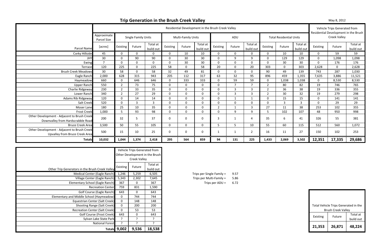|                                                                                  | Residential Development in the Brush Creek Valley |                |                     |                       |          |                    |                       |                |              | Vehicle Trips Generated from<br>Residential Development in the Brush |                |                                |                       |             |                     |                       |
|----------------------------------------------------------------------------------|---------------------------------------------------|----------------|---------------------|-----------------------|----------|--------------------|-----------------------|----------------|--------------|----------------------------------------------------------------------|----------------|--------------------------------|-----------------------|-------------|---------------------|-----------------------|
|                                                                                  | Approximate<br>Parcel Size                        |                | Single Family Units |                       |          | Multi-Family Units |                       |                | ADU          |                                                                      |                | <b>Total Residential Units</b> |                       |             | <b>Creek Valley</b> |                       |
| Parcel Name                                                                      | [acres]                                           | Existing       | Future              | Total at<br>build out | Existing | Future             | Total at<br>build out | Existing       | Future       | Total at<br>build out                                                | Existing       | Future                         | Total at<br>build out | Existing    | Future              | Total at<br>build out |
| Corky Hillside                                                                   | 45                                                | $\Omega$       | $\Omega$            | 0                     | 0        | 10                 | 10                    | $\Omega$       | $\Omega$     | $\Omega$                                                             | $\Omega$       | 10                             | 10                    | $\Omega$    | 59                  | 59                    |
| <b>JHY</b>                                                                       | 30                                                | $\Omega$       | 90                  | 90                    | 0        | 30                 | 30                    | $\Omega$       | 9            | 9                                                                    | $\Omega$       | 129                            | 129                   | $\Omega$    | 1,098               | 1,098                 |
| Ewing                                                                            | $\overline{\phantom{a}}$                          | $\Omega$       | 0                   | <sup>0</sup>          | 0        | 30                 | 30                    |                | $\Omega$     |                                                                      | $\Omega$       | 30                             | 30                    | $\Omega$    | 176                 | 176                   |
| <b>Terrace</b>                                                                   | 120                                               | 225            | 0                   | 225                   | 58       | $\mathbf{0}$       | 58                    | 20             | $\Omega$     | 20                                                                   | 303            | $\Omega$                       | 303                   | 2,628       | $\Omega$            | 2,628                 |
| <b>Brush Creek Meadows</b>                                                       | 30                                                | 58             | $\mathbf 0$         | 58                    | 32       | 49                 | 81                    | $\Omega$       | $\mathbf{0}$ | $\Omega$                                                             | 90             | 49                             | 139                   | 743         | 287                 | 1,030                 |
| Eagle Ranch                                                                      | 2,000                                             | 628            | 315                 | 943                   | 205      | 112                | 317                   | 63             | 32           | 95                                                                   | 896            | 459                            | 1,355                 | 7,635       | 3,886               | 11,521                |
| Haymeadow                                                                        | 660                                               | $\Omega$       | 646                 | 646                   | 0        | 333                | 333                   | $\Omega$       | 59           | 59                                                                   | 0              | 1,038                          | 1,038                 | $\Omega$    | 8,530               | 8,530                 |
| <b>Upper Ranch</b>                                                               | 550                                               | $\overline{2}$ | 73                  | 75                    | 0        | $\Omega$           | $\Omega$              |                | ⇁            |                                                                      | 2              | 80                             | 82                    | 19          | 746                 | 765                   |
| Charlie Ridgeway                                                                 | 230                                               | $\overline{2}$ | 33                  | 35                    | 0        | $\Omega$           | $\Omega$              | $\Omega$       | $\mathbf{R}$ | 3                                                                    | $\overline{2}$ | 36                             | 38                    | 19          | 336                 | 355                   |
| Lower Ranch                                                                      | 340                                               | $\overline{2}$ | 27                  | 29                    | 0        | $\mathbf{0}$       | $\Omega$              | $\Omega$       | 3            | 3                                                                    | $\overline{2}$ | 30                             | 32                    | 19          | 279                 | 298                   |
| Adams Rib Ridgeway                                                               | 120                                               | $\overline{0}$ | 14                  | 14                    | 0        | $\mathbf 0$        | $\overline{0}$        | $\Omega$       |              |                                                                      | $\Omega$       | 15                             | 15                    | $\mathbf 0$ | 141                 | 141                   |
| Salt Creek                                                                       | 520                                               | $\Omega$       | $\overline{3}$      | 3                     | 0        | $\Omega$           | $\overline{0}$        | $\Omega$       | $\Omega$     | $\Omega$                                                             | $\Omega$       | $\overline{3}$                 | $\overline{3}$        | $\Omega$    | 29                  | 29                    |
| Moser Lane                                                                       | 180                                               | 25             | 10                  | 35                    | 0        | $\Omega$           | $\Omega$              | $\overline{2}$ | -1           | 3                                                                    | 27             | 11                             | 38                    | 253         | 102                 | 355                   |
| <b>Frost Creek</b>                                                               | 1,000                                             | .5             | 93                  | 98                    | 0        | $\mathbf{0}$       | $\mathbf{0}$          | $\Omega$       | 9            | $\Omega$                                                             | 5              | 102                            | 107                   | 48          | 950                 | 998                   |
| Other Development - Adjacent to Brush Creek<br>Downvalley from Hardscrabble Road | 200                                               | 32             | 5.                  | 37                    | 0        | 0                  | 0                     | 3              |              | 4                                                                    | 35             | 6                              | 41                    | 326         | 55                  | 381                   |
| <b>Bruce Creek Area</b>                                                          | 3,500                                             | 50             | 55                  | 105                   | $\Omega$ | $\mathbf 0$        | $\Omega$              | 5              | 5            | 10                                                                   | 55             | 60                             | 115                   | 512         | 560                 | 1,072                 |
| Other Development - Adjacent to Brush Creek<br>Upvalley from Bruce Creek Area    | 500                                               | 15             | 10                  | 25                    | O.       | 0                  | $\Omega$              |                |              | $\overline{2}$                                                       | 16             | 11                             | 27                    | 150         | 102                 | 253                   |
| <b>Totals</b>                                                                    | 10,032                                            | 1,044          | 1,374               | 2,418                 | 295      | 564                | 859                   | 94             | 131          | 225                                                                  | 1,433          | 2,069                          | 3,502                 | 12,351      | 17,335              | 29,686                |

|                                                 |                     | Vehicle Trips Generated from |                                |                           |      |          |                                      |           |
|-------------------------------------------------|---------------------|------------------------------|--------------------------------|---------------------------|------|----------|--------------------------------------|-----------|
|                                                 |                     |                              | Other Development in the Brush |                           |      |          |                                      |           |
|                                                 |                     | <b>Creek Valley</b>          |                                |                           |      |          |                                      |           |
|                                                 | Existing            | Future                       | Total at                       |                           |      |          |                                      |           |
| Other Trip Generators in the Brush Creek Valley |                     |                              | build out                      |                           |      |          |                                      |           |
| Medical Center (Eagle Ranch)                    | 1,246               | 5,259                        | 6,505                          | Trips per Single Family = | 9.57 |          |                                      |           |
| Village Center (Eagle Ranch)                    | 5,343               | 2,302                        | 7,645                          | Trips per Multi-Family =  | 5.86 |          |                                      |           |
| Elementary School (Eagle Ranch)                 | 367                 | 0                            | 367                            | Trips per $ADU =$         | 6.72 |          |                                      |           |
| <b>Recreation Center</b>                        | 759                 | 831                          | 1,590                          |                           |      |          |                                      |           |
| Golf Course (Eagle Ranch)                       | 643                 | 0                            | 643                            |                           |      |          |                                      |           |
| Elementary and Middle School (Haymeadow)        |                     | 744                          | 744                            |                           |      |          |                                      |           |
| Equestrian Center (Salt Creek)                  | $\overline{0}$      | 148                          | 148                            |                           |      |          |                                      |           |
| <b>Shooting Range (Salt Creek)</b>              | 0                   | 200                          | 200                            |                           |      |          | Total Vehicle Trips Generated in the |           |
| <b>Recreation Center (Salt Creek)</b>           | 0                   | 53                           | 53                             |                           |      |          | <b>Brush Creek Valley</b>            |           |
| Golf Course (Frost Creek)                       | 643                 | 0                            | 643                            |                           |      | Existing | Future                               | Total at  |
| Sylvan Lake State Park                          |                     |                              |                                |                           |      |          |                                      | build out |
| <b>National Forest</b>                          |                     |                              |                                |                           |      |          |                                      |           |
|                                                 | <b>Totals</b> 9,002 | 9,536                        | 18,538                         |                           |      | 21,353   | 26,871                               | 48,224    |

| Total Vehicle Trips Generated in the |        |           |  |  |  |  |  |  |
|--------------------------------------|--------|-----------|--|--|--|--|--|--|
| <b>Brush Creek Valley</b>            |        |           |  |  |  |  |  |  |
| Existing                             | Future | Total at  |  |  |  |  |  |  |
|                                      |        | build out |  |  |  |  |  |  |
| 21,353                               | 26,871 | 48,224    |  |  |  |  |  |  |

# **Trip Generation in the Brush Creek Valley** May 8, <sup>2012</sup>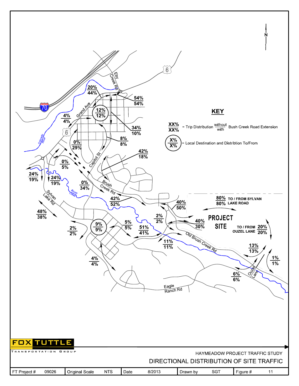